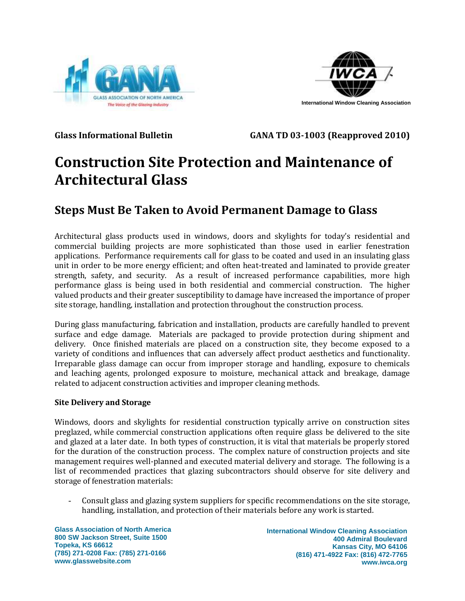



**Glass Informational Bulletin GANA TD 03-1003 (Reapproved 2010)**

# **Construction Site Protection and Maintenance of Architectural Glass**

# **Steps Must Be Taken to Avoid Permanent Damage to Glass**

Architectural glass products used in windows, doors and skylights for today's residential and commercial building projects are more sophisticated than those used in earlier fenestration applications. Performance requirements call for glass to be coated and used in an insulating glass unit in order to be more energy efficient; and often heat-treated and laminated to provide greater strength, safety, and security. As a result of increased performance capabilities, more high performance glass is being used in both residential and commercial construction. The higher valued products and their greater susceptibility to damage have increased the importance of proper site storage, handling, installation and protection throughout the construction process.

During glass manufacturing, fabrication and installation, products are carefully handled to prevent surface and edge damage. Materials are packaged to provide protection during shipment and delivery. Once finished materials are placed on a construction site, they become exposed to a variety of conditions and influences that can adversely affect product aesthetics and functionality. Irreparable glass damage can occur from improper storage and handling, exposure to chemicals and leaching agents, prolonged exposure to moisture, mechanical attack and breakage, damage related to adjacent construction activities and improper cleaning methods.

## **Site Delivery and Storage**

Windows, doors and skylights for residential construction typically arrive on construction sites preglazed, while commercial construction applications often require glass be delivered to the site and glazed at a later date. In both types of construction, it is vital that materials be properly stored for the duration of the construction process. The complex nature of construction projects and site management requires well-planned and executed material delivery and storage. The following is a list of recommended practices that glazing subcontractors should observe for site delivery and storage of fenestration materials:

- Consult glass and glazing system suppliers for specific recommendations on the site storage, handling, installation, and protection of their materials before any work is started.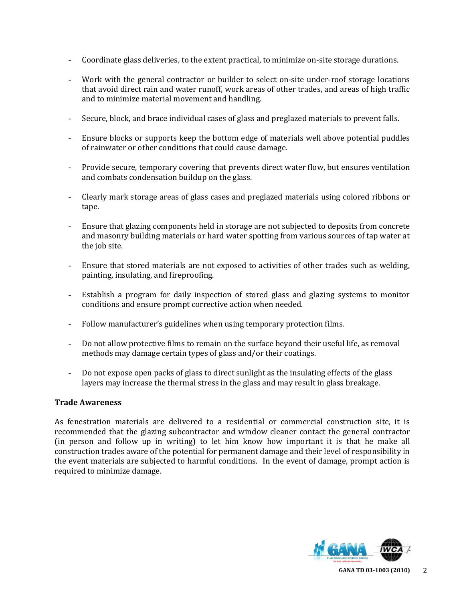- Coordinate glass deliveries, to the extent practical, to minimize on-site storage durations.
- Work with the general contractor or builder to select on-site under-roof storage locations that avoid direct rain and water runoff, work areas of other trades, and areas of high traffic and to minimize material movement and handling.
- Secure, block, and brace individual cases of glass and preglazed materials to prevent falls.
- Ensure blocks or supports keep the bottom edge of materials well above potential puddles of rainwater or other conditions that could cause damage.
- Provide secure, temporary covering that prevents direct water flow, but ensures ventilation and combats condensation buildup on the glass.
- Clearly mark storage areas of glass cases and preglazed materials using colored ribbons or tape.
- Ensure that glazing components held in storage are not subjected to deposits from concrete and masonry building materials or hard water spotting from various sources of tap water at the job site.
- Ensure that stored materials are not exposed to activities of other trades such as welding, painting, insulating, and fireproofing.
- Establish a program for daily inspection of stored glass and glazing systems to monitor conditions and ensure prompt corrective action when needed.
- Follow manufacturer's guidelines when using temporary protection films.
- Do not allow protective films to remain on the surface beyond their useful life, as removal methods may damage certain types of glass and/or their coatings.
- Do not expose open packs of glass to direct sunlight as the insulating effects of the glass layers may increase the thermal stress in the glass and may result in glass breakage.

#### **Trade Awareness**

As fenestration materials are delivered to a residential or commercial construction site, it is recommended that the glazing subcontractor and window cleaner contact the general contractor (in person and follow up in writing) to let him know how important it is that he make all construction trades aware of the potential for permanent damage and their level of responsibility in the event materials are subjected to harmful conditions. In the event of damage, prompt action is required to minimize damage.

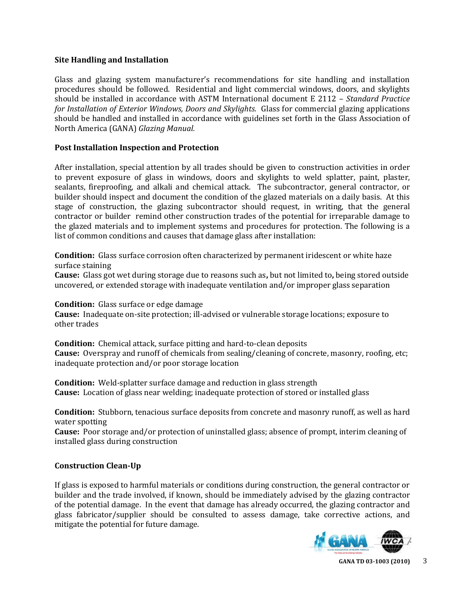#### **Site Handling and Installation**

Glass and glazing system manufacturer's recommendations for site handling and installation procedures should be followed. Residential and light commercial windows, doors, and skylights should be installed in accordance with ASTM International document E 2112 – *Standard Practice for Installation of Exterior Windows, Doors and Skylights.* Glass for commercial glazing applications should be handled and installed in accordance with guidelines set forth in the Glass Association of North America (GANA) *Glazing Manual.*

### **Post Installation Inspection and Protection**

After installation, special attention by all trades should be given to construction activities in order to prevent exposure of glass in windows, doors and skylights to weld splatter, paint, plaster, sealants, fireproofing, and alkali and chemical attack. The subcontractor, general contractor, or builder should inspect and document the condition of the glazed materials on a daily basis. At this stage of construction, the glazing subcontractor should request, in writing, that the general contractor or builder remind other construction trades of the potential for irreparable damage to the glazed materials and to implement systems and procedures for protection. The following is a list of common conditions and causes that damage glass after installation:

**Condition:** Glass surface corrosion often characterized by permanent iridescent or white haze surface staining

**Cause:** Glass got wet during storage due to reasons such as**,** but not limited to**,** being stored outside uncovered, or extended storage with inadequate ventilation and/or improper glass separation

**Condition:** Glass surface or edge damage **Cause:** Inadequate on-site protection; ill-advised or vulnerable storage locations; exposure to other trades

**Condition:** Chemical attack, surface pitting and hard-to-clean deposits **Cause:** Overspray and runoff of chemicals from sealing/cleaning of concrete, masonry, roofing, etc; inadequate protection and/or poor storage location

**Condition:** Weld-splatter surface damage and reduction in glass strength **Cause:** Location of glass near welding; inadequate protection of stored or installed glass

**Condition:** Stubborn, tenacious surface deposits from concrete and masonry runoff, as well as hard water spotting

**Cause:** Poor storage and/or protection of uninstalled glass; absence of prompt, interim cleaning of installed glass during construction

#### **Construction Clean-Up**

If glass is exposed to harmful materials or conditions during construction, the general contractor or builder and the trade involved, if known, should be immediately advised by the glazing contractor of the potential damage. In the event that damage has already occurred, the glazing contractor and glass fabricator/supplier should be consulted to assess damage, take corrective actions, and mitigate the potential for future damage.